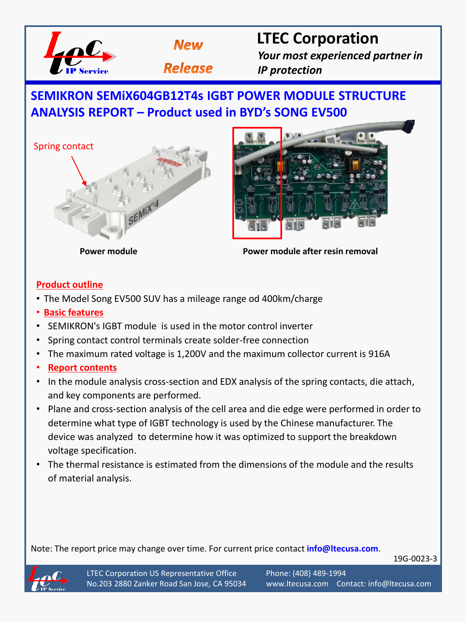



# **LTEC Corporation**

*Your most experienced partner in IP protection*

## **SEMIKRON SEMiX604GB12T4s IGBT POWER MODULE STRUCTURE ANALYSIS REPORT – Product used in BYD's SONG EV500**





**Power module Power module after resin removal**

## **Product outline**

- The Model Song EV500 SUV has a mileage range od 400km/charge
- **Basic features**
- SEMIKRON's IGBT module is used in the motor control inverter
- Spring contact control terminals create solder-free connection
- The maximum rated voltage is 1,200V and the maximum collector current is 916A
- **Report contents**
- In the module analysis cross-section and EDX analysis of the spring contacts, die attach, and key components are performed.
- Plane and cross-section analysis of the cell area and die edge were performed in order to determine what type of IGBT technology is used by the Chinese manufacturer. The device was analyzed to determine how it was optimized to support the breakdown voltage specification.
- The thermal resistance is estimated from the dimensions of the module and the results of material analysis.

Note: The report price may change over time. For current price contact **info@ltecusa.com**.

19G-0023-3

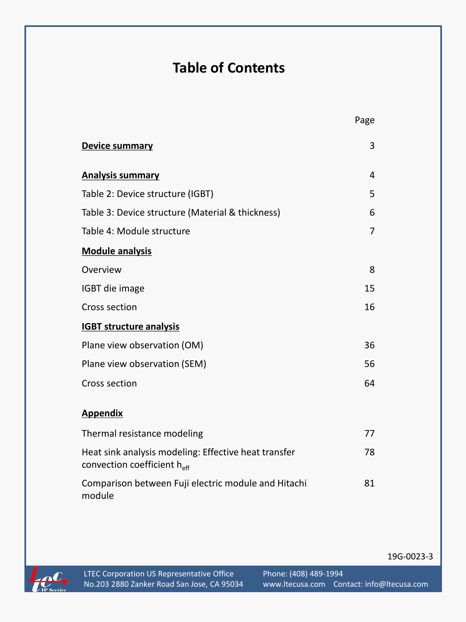# **Table of Contents**

| Device summary                                                                      | 3  |
|-------------------------------------------------------------------------------------|----|
| <b>Analysis summary</b>                                                             | 4  |
| Table 2: Device structure (IGBT)                                                    | 5  |
| Table 3: Device structure (Material & thickness)                                    | 6  |
| Table 4: Module structure                                                           | 7  |
| <b>Module analysis</b>                                                              |    |
| Overview                                                                            | 8  |
| IGBT die image                                                                      | 15 |
| Cross section                                                                       | 16 |
| <b>IGBT structure analysis</b>                                                      |    |
| Plane view observation (OM)                                                         | 36 |
| Plane view observation (SEM)                                                        | 56 |
| Cross section                                                                       | 64 |
| <b>Appendix</b>                                                                     |    |
| Thermal resistance modeling                                                         | 77 |
| Heat sink analysis modeling: Effective heat transfer<br>convection coefficient heff | 78 |
| Comparison between Fuji electric module and Hitachi<br>module                       | 81 |

19G-0023-3



Page